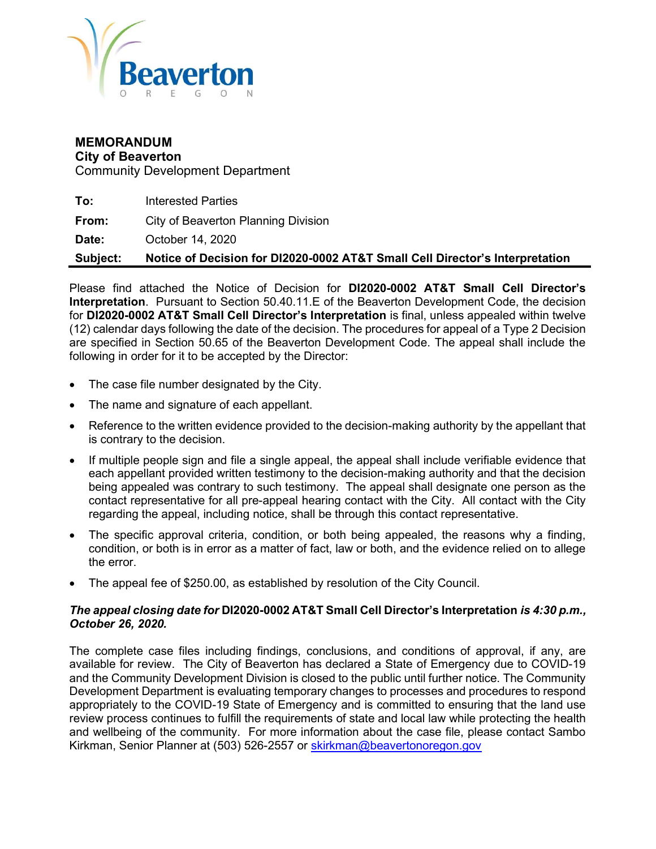

#### MEMORANDUM City of Beaverton

Community Development Department

To: Interested Parties **From:** City of Beaverton Planning Division Date: October 14, 2020 Subject: Notice of Decision for DI2020-0002 AT&T Small Cell Director's Interpretation

Please find attached the Notice of Decision for DI2020-0002 AT&T Small Cell Director's Interpretation. Pursuant to Section 50.40.11.E of the Beaverton Development Code, the decision for DI2020-0002 AT&T Small Cell Director's Interpretation is final, unless appealed within twelve (12) calendar days following the date of the decision. The procedures for appeal of a Type 2 Decision are specified in Section 50.65 of the Beaverton Development Code. The appeal shall include the following in order for it to be accepted by the Director:

- The case file number designated by the City.
- The name and signature of each appellant.
- Reference to the written evidence provided to the decision-making authority by the appellant that is contrary to the decision.
- If multiple people sign and file a single appeal, the appeal shall include verifiable evidence that each appellant provided written testimony to the decision-making authority and that the decision being appealed was contrary to such testimony. The appeal shall designate one person as the contact representative for all pre-appeal hearing contact with the City. All contact with the City regarding the appeal, including notice, shall be through this contact representative.
- The specific approval criteria, condition, or both being appealed, the reasons why a finding, condition, or both is in error as a matter of fact, law or both, and the evidence relied on to allege the error.
- The appeal fee of \$250.00, as established by resolution of the City Council.

#### The appeal closing date for DI2020-0002 AT&T Small Cell Director's Interpretation is 4:30 p.m., October 26, 2020.

The complete case files including findings, conclusions, and conditions of approval, if any, are available for review. The City of Beaverton has declared a State of Emergency due to COVID-19 and the Community Development Division is closed to the public until further notice. The Community Development Department is evaluating temporary changes to processes and procedures to respond appropriately to the COVID-19 State of Emergency and is committed to ensuring that the land use review process continues to fulfill the requirements of state and local law while protecting the health and wellbeing of the community. For more information about the case file, please contact Sambo Kirkman, Senior Planner at (503) 526-2557 or skirkman@beavertonoregon.gov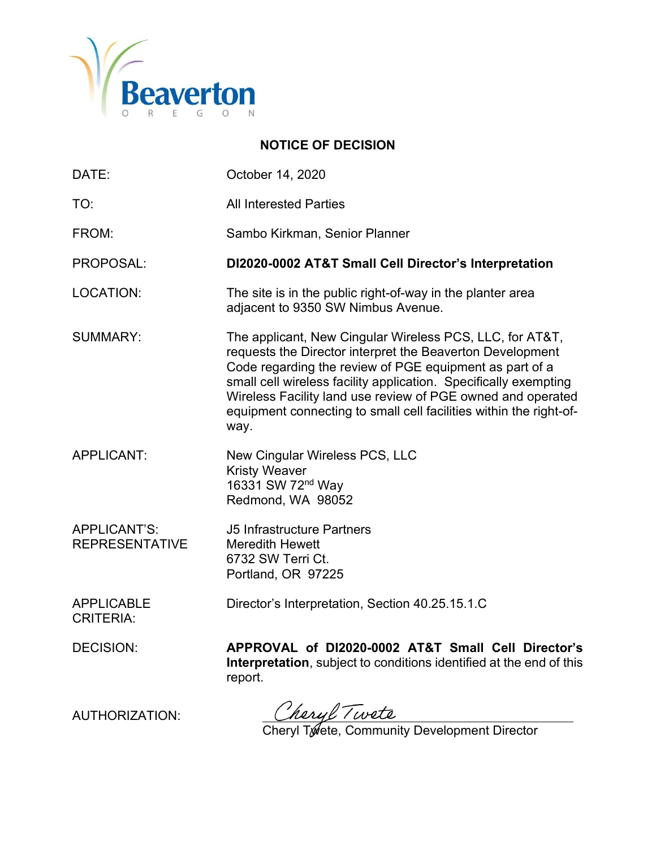

### NOTICE OF DECISION

| DATE:                                        | October 14, 2020                                                                                                                                                                                                                                                                                                                                                                                  |
|----------------------------------------------|---------------------------------------------------------------------------------------------------------------------------------------------------------------------------------------------------------------------------------------------------------------------------------------------------------------------------------------------------------------------------------------------------|
| TO:                                          | <b>All Interested Parties</b>                                                                                                                                                                                                                                                                                                                                                                     |
| FROM:                                        | Sambo Kirkman, Senior Planner                                                                                                                                                                                                                                                                                                                                                                     |
| PROPOSAL:                                    | DI2020-0002 AT&T Small Cell Director's Interpretation                                                                                                                                                                                                                                                                                                                                             |
| <b>LOCATION:</b>                             | The site is in the public right-of-way in the planter area<br>adjacent to 9350 SW Nimbus Avenue.                                                                                                                                                                                                                                                                                                  |
| <b>SUMMARY:</b>                              | The applicant, New Cingular Wireless PCS, LLC, for AT&T,<br>requests the Director interpret the Beaverton Development<br>Code regarding the review of PGE equipment as part of a<br>small cell wireless facility application. Specifically exempting<br>Wireless Facility land use review of PGE owned and operated<br>equipment connecting to small cell facilities within the right-of-<br>way. |
| <b>APPLICANT:</b>                            | New Cingular Wireless PCS, LLC<br><b>Kristy Weaver</b><br>16331 SW 72 <sup>nd</sup> Way<br>Redmond, WA 98052                                                                                                                                                                                                                                                                                      |
| <b>APPLICANT'S:</b><br><b>REPRESENTATIVE</b> | <b>J5 Infrastructure Partners</b><br><b>Meredith Hewett</b><br>6732 SW Terri Ct.<br>Portland, OR 97225                                                                                                                                                                                                                                                                                            |
| <b>APPLICABLE</b><br><b>CRITERIA:</b>        | Director's Interpretation, Section 40.25.15.1.C                                                                                                                                                                                                                                                                                                                                                   |
| <b>DECISION:</b>                             | APPROVAL of DI2020-0002 AT&T Small Cell Director's<br>Interpretation, subject to conditions identified at the end of this<br>report.                                                                                                                                                                                                                                                              |
| ALITUODIZATIONI.                             | havel Turata                                                                                                                                                                                                                                                                                                                                                                                      |

Cheryl / Well<br>Cheryl Twete, Community Development Director

AUTHORIZATION: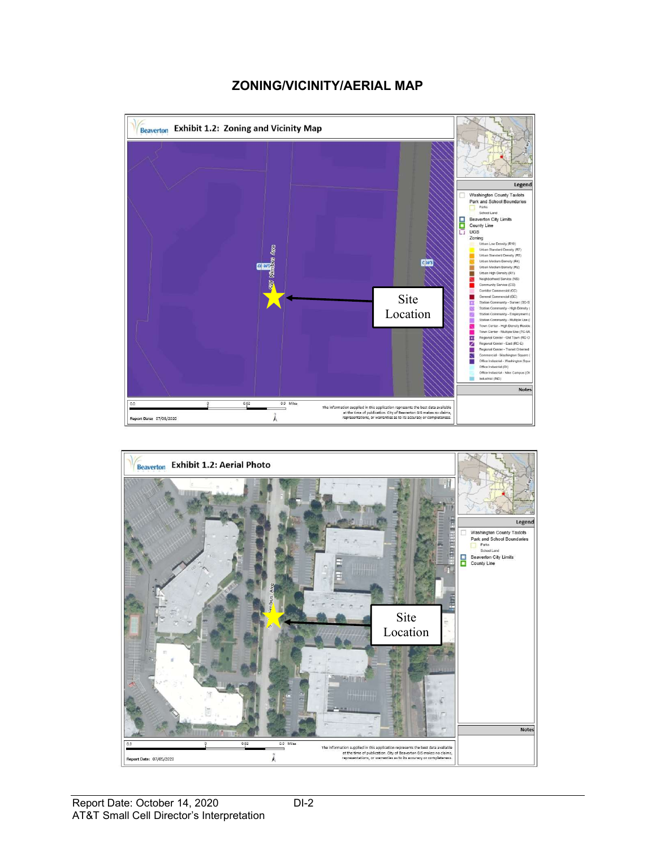#### ZONING/VICINITY/AERIAL MAP



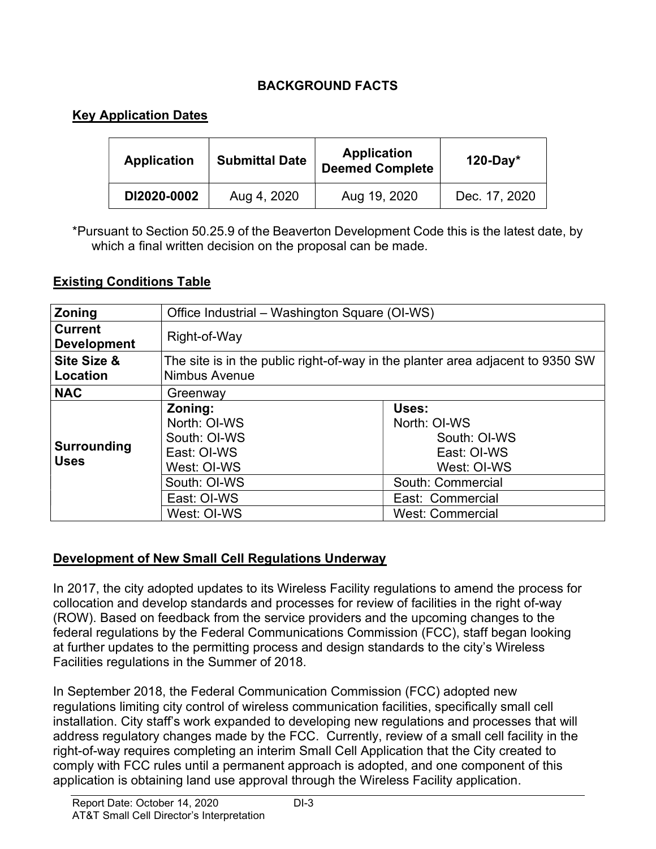# BACKGROUND FACTS

### Key Application Dates

| <b>Application</b> | <b>Submittal Date</b> | <b>Application</b><br><b>Deemed Complete</b> | $120$ -Day*   |
|--------------------|-----------------------|----------------------------------------------|---------------|
| DI2020-0002        | Aug 4, 2020           | Aug 19, 2020                                 | Dec. 17, 2020 |

\*Pursuant to Section 50.25.9 of the Beaverton Development Code this is the latest date, by which a final written decision on the proposal can be made.

#### Existing Conditions Table

| <b>Zoning</b>                        | Office Industrial - Washington Square (OI-WS)                                                                       |                                                                                                                                         |  |  |
|--------------------------------------|---------------------------------------------------------------------------------------------------------------------|-----------------------------------------------------------------------------------------------------------------------------------------|--|--|
| <b>Current</b><br><b>Development</b> | Right-of-Way                                                                                                        |                                                                                                                                         |  |  |
| Site Size &<br>Location              | The site is in the public right-of-way in the planter area adjacent to 9350 SW<br>Nimbus Avenue                     |                                                                                                                                         |  |  |
| <b>NAC</b>                           | Greenway                                                                                                            |                                                                                                                                         |  |  |
| <b>Surrounding</b><br><b>Uses</b>    | Zoning:<br>North: OI-WS<br>South: OI-WS<br>East: OI-WS<br>West: OI-WS<br>South: OI-WS<br>East: OI-WS<br>West: OI-WS | Uses:<br>North: OI-WS<br>South: OI-WS<br>East: OI-WS<br>West: OI-WS<br>South: Commercial<br>East: Commercial<br><b>West: Commercial</b> |  |  |

#### Development of New Small Cell Regulations Underway

In 2017, the city adopted updates to its Wireless Facility regulations to amend the process for collocation and develop standards and processes for review of facilities in the right of-way (ROW). Based on feedback from the service providers and the upcoming changes to the federal regulations by the Federal Communications Commission (FCC), staff began looking at further updates to the permitting process and design standards to the city's Wireless Facilities regulations in the Summer of 2018.

In September 2018, the Federal Communication Commission (FCC) adopted new regulations limiting city control of wireless communication facilities, specifically small cell installation. City staff's work expanded to developing new regulations and processes that will address regulatory changes made by the FCC. Currently, review of a small cell facility in the right-of-way requires completing an interim Small Cell Application that the City created to comply with FCC rules until a permanent approach is adopted, and one component of this application is obtaining land use approval through the Wireless Facility application.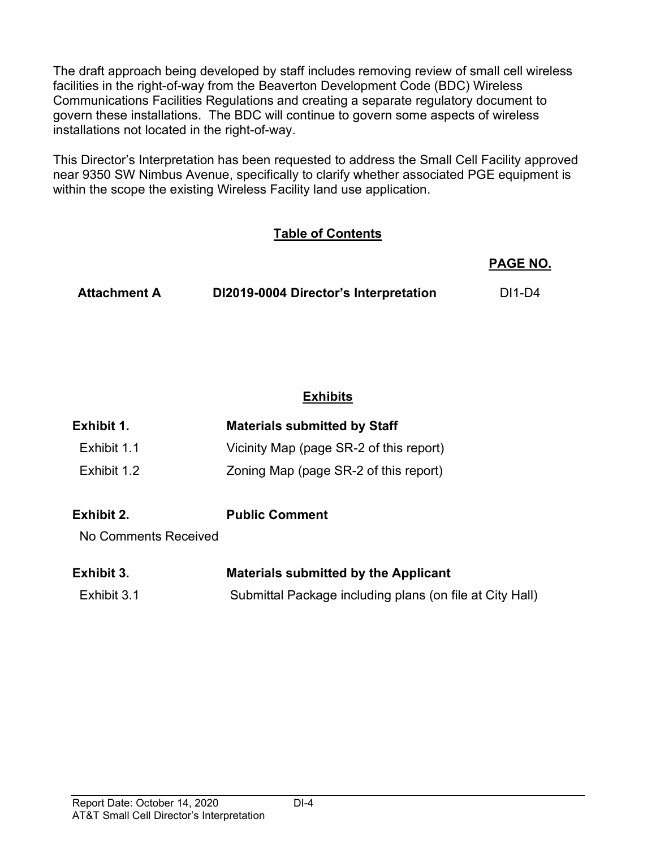The draft approach being developed by staff includes removing review of small cell wireless facilities in the right-of-way from the Beaverton Development Code (BDC) Wireless Communications Facilities Regulations and creating a separate regulatory document to govern these installations. The BDC will continue to govern some aspects of wireless installations not located in the right-of-way.

This Director's Interpretation has been requested to address the Small Cell Facility approved near 9350 SW Nimbus Avenue, specifically to clarify whether associated PGE equipment is within the scope the existing Wireless Facility land use application.

### Table of Contents

 PAGE NO. Attachment A DI2019-0004 Director's Interpretation DI1-D4

### **Exhibits**

| Exhibit 1.           | <b>Materials submitted by Staff</b>                      |
|----------------------|----------------------------------------------------------|
| Exhibit 1.1          | Vicinity Map (page SR-2 of this report)                  |
| Exhibit 1.2          | Zoning Map (page SR-2 of this report)                    |
| Exhibit 2.           | <b>Public Comment</b>                                    |
| No Comments Received |                                                          |
| Exhibit 3.           | <b>Materials submitted by the Applicant</b>              |
| Exhibit 3.1          | Submittal Package including plans (on file at City Hall) |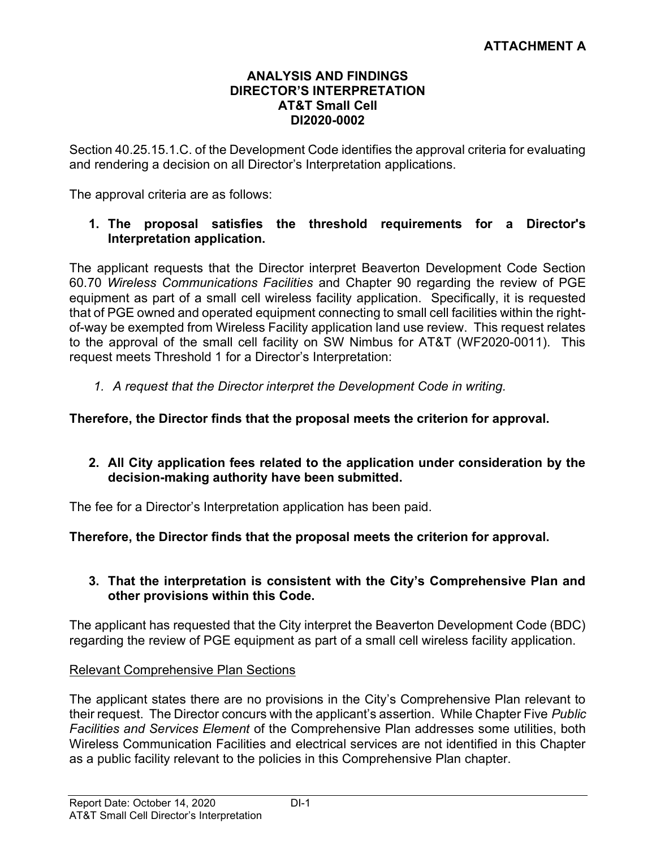#### ANALYSIS AND FINDINGS DIRECTOR'S INTERPRETATION AT&T Small Cell DI2020-0002

Section 40.25.15.1.C. of the Development Code identifies the approval criteria for evaluating and rendering a decision on all Director's Interpretation applications.

The approval criteria are as follows:

#### 1. The proposal satisfies the threshold requirements for a Director's Interpretation application.

The applicant requests that the Director interpret Beaverton Development Code Section 60.70 Wireless Communications Facilities and Chapter 90 regarding the review of PGE equipment as part of a small cell wireless facility application. Specifically, it is requested that of PGE owned and operated equipment connecting to small cell facilities within the rightof-way be exempted from Wireless Facility application land use review. This request relates to the approval of the small cell facility on SW Nimbus for AT&T (WF2020-0011). This request meets Threshold 1 for a Director's Interpretation:

1. A request that the Director interpret the Development Code in writing.

#### Therefore, the Director finds that the proposal meets the criterion for approval.

#### 2. All City application fees related to the application under consideration by the decision-making authority have been submitted.

The fee for a Director's Interpretation application has been paid.

#### Therefore, the Director finds that the proposal meets the criterion for approval.

#### 3. That the interpretation is consistent with the City's Comprehensive Plan and other provisions within this Code.

The applicant has requested that the City interpret the Beaverton Development Code (BDC) regarding the review of PGE equipment as part of a small cell wireless facility application.

#### Relevant Comprehensive Plan Sections

The applicant states there are no provisions in the City's Comprehensive Plan relevant to their request. The Director concurs with the applicant's assertion. While Chapter Five Public Facilities and Services Element of the Comprehensive Plan addresses some utilities, both Wireless Communication Facilities and electrical services are not identified in this Chapter as a public facility relevant to the policies in this Comprehensive Plan chapter.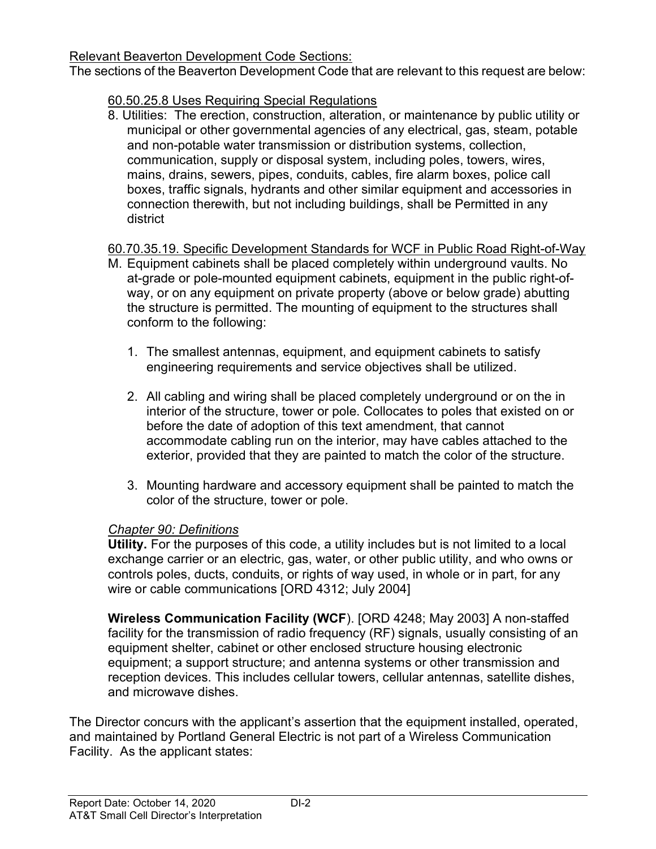### Relevant Beaverton Development Code Sections:

The sections of the Beaverton Development Code that are relevant to this request are below:

# 60.50.25.8 Uses Requiring Special Regulations

8. Utilities: The erection, construction, alteration, or maintenance by public utility or municipal or other governmental agencies of any electrical, gas, steam, potable and non-potable water transmission or distribution systems, collection, communication, supply or disposal system, including poles, towers, wires, mains, drains, sewers, pipes, conduits, cables, fire alarm boxes, police call boxes, traffic signals, hydrants and other similar equipment and accessories in connection therewith, but not including buildings, shall be Permitted in any district

# 60.70.35.19. Specific Development Standards for WCF in Public Road Right-of-Way

- M. Equipment cabinets shall be placed completely within underground vaults. No at-grade or pole-mounted equipment cabinets, equipment in the public right-ofway, or on any equipment on private property (above or below grade) abutting the structure is permitted. The mounting of equipment to the structures shall conform to the following:
	- 1. The smallest antennas, equipment, and equipment cabinets to satisfy engineering requirements and service objectives shall be utilized.
	- 2. All cabling and wiring shall be placed completely underground or on the in interior of the structure, tower or pole. Collocates to poles that existed on or before the date of adoption of this text amendment, that cannot accommodate cabling run on the interior, may have cables attached to the exterior, provided that they are painted to match the color of the structure.
	- 3. Mounting hardware and accessory equipment shall be painted to match the color of the structure, tower or pole.

### Chapter 90: Definitions

Utility. For the purposes of this code, a utility includes but is not limited to a local exchange carrier or an electric, gas, water, or other public utility, and who owns or controls poles, ducts, conduits, or rights of way used, in whole or in part, for any wire or cable communications [ORD 4312; July 2004]

Wireless Communication Facility (WCF). [ORD 4248; May 2003] A non-staffed facility for the transmission of radio frequency (RF) signals, usually consisting of an equipment shelter, cabinet or other enclosed structure housing electronic equipment; a support structure; and antenna systems or other transmission and reception devices. This includes cellular towers, cellular antennas, satellite dishes, and microwave dishes.

The Director concurs with the applicant's assertion that the equipment installed, operated, and maintained by Portland General Electric is not part of a Wireless Communication Facility. As the applicant states: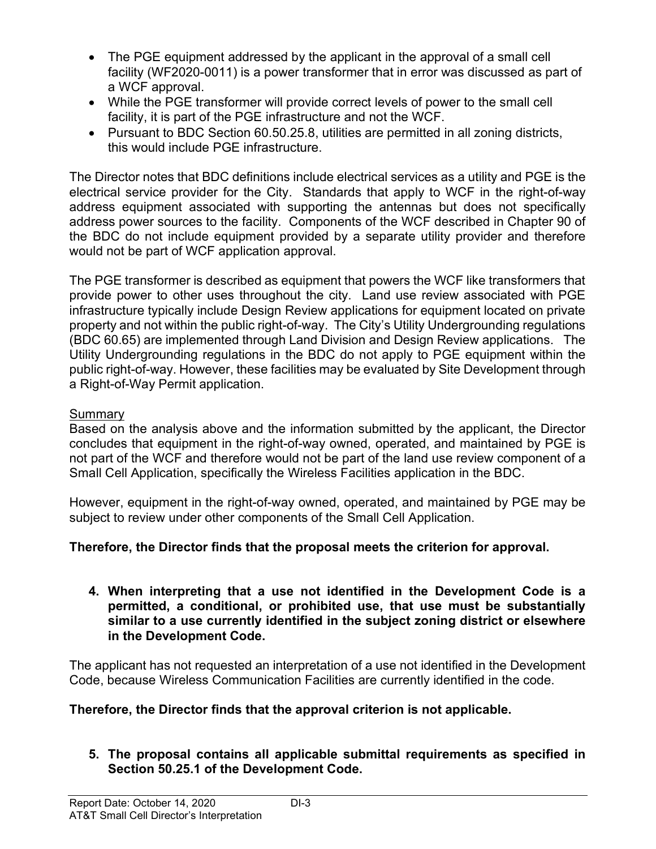- The PGE equipment addressed by the applicant in the approval of a small cell facility (WF2020-0011) is a power transformer that in error was discussed as part of a WCF approval.
- While the PGE transformer will provide correct levels of power to the small cell facility, it is part of the PGE infrastructure and not the WCF.
- Pursuant to BDC Section 60.50.25.8, utilities are permitted in all zoning districts, this would include PGE infrastructure.

The Director notes that BDC definitions include electrical services as a utility and PGE is the electrical service provider for the City. Standards that apply to WCF in the right-of-way address equipment associated with supporting the antennas but does not specifically address power sources to the facility. Components of the WCF described in Chapter 90 of the BDC do not include equipment provided by a separate utility provider and therefore would not be part of WCF application approval.

The PGE transformer is described as equipment that powers the WCF like transformers that provide power to other uses throughout the city. Land use review associated with PGE infrastructure typically include Design Review applications for equipment located on private property and not within the public right-of-way. The City's Utility Undergrounding regulations (BDC 60.65) are implemented through Land Division and Design Review applications. The Utility Undergrounding regulations in the BDC do not apply to PGE equipment within the public right-of-way. However, these facilities may be evaluated by Site Development through a Right-of-Way Permit application.

### **Summary**

Based on the analysis above and the information submitted by the applicant, the Director concludes that equipment in the right-of-way owned, operated, and maintained by PGE is not part of the WCF and therefore would not be part of the land use review component of a Small Cell Application, specifically the Wireless Facilities application in the BDC.

However, equipment in the right-of-way owned, operated, and maintained by PGE may be subject to review under other components of the Small Cell Application.

### Therefore, the Director finds that the proposal meets the criterion for approval.

4. When interpreting that a use not identified in the Development Code is a permitted, a conditional, or prohibited use, that use must be substantially similar to a use currently identified in the subject zoning district or elsewhere in the Development Code.

The applicant has not requested an interpretation of a use not identified in the Development Code, because Wireless Communication Facilities are currently identified in the code.

### Therefore, the Director finds that the approval criterion is not applicable.

5. The proposal contains all applicable submittal requirements as specified in Section 50.25.1 of the Development Code.